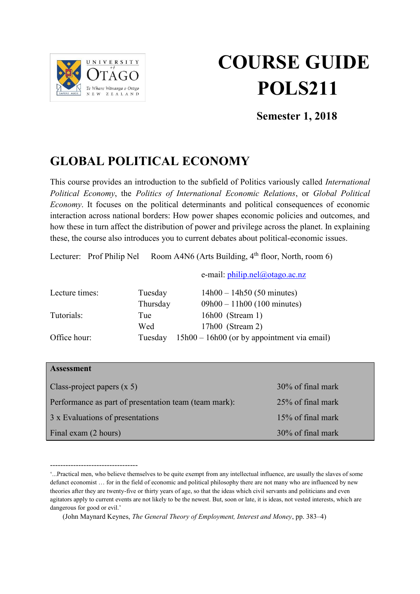

# **COURSE GUIDE POLS211**

# **Semester 1, 2018**

# **GLOBAL POLITICAL ECONOMY**

This course provides an introduction to the subfield of Politics variously called *International Political Economy*, the *Politics of International Economic Relations*, or *Global Political Economy*. It focuses on the political determinants and political consequences of economic interaction across national borders: How power shapes economic policies and outcomes, and how these in turn affect the distribution of power and privilege across the planet. In explaining these, the course also introduces you to current debates about political-economic issues.

Lecturer: Prof Philip Nel Room A4N6 (Arts Building, 4<sup>th</sup> floor, North, room 6)

e-mail: [philip.nel@otago.ac.nz](mailto:philip.nel@otago.ac.nz)

| Lecture times: | Tuesday  | $14h00 - 14h50$ (50 minutes)                |
|----------------|----------|---------------------------------------------|
|                | Thursday | $09h00 - 11h00$ (100 minutes)               |
| Tutorials:     | Tue      | 16h00 (Stream 1)                            |
|                | Wed      | 17h00 (Stream 2)                            |
| Office hour:   | Tuesday  | 15h00 – 16h00 (or by appointment via email) |

| <b>Assessment</b>                                     |                   |
|-------------------------------------------------------|-------------------|
|                                                       |                   |
| Class-project papers $(x 5)$                          | 30% of final mark |
| Performance as part of presentation team (team mark): | 25% of final mark |
| 3 x Evaluations of presentations                      | 15% of final mark |
| Final exam (2 hours)                                  | 30% of final mark |

<sup>----------------------------------</sup> '...Practical men, who believe themselves to be quite exempt from any intellectual influence, are usually the slaves of some defunct economist … for in the field of economic and political philosophy there are not many who are influenced by new theories after they are twenty-five or thirty years of age, so that the ideas which civil servants and politicians and even agitators apply to current events are not likely to be the newest. But, soon or late, it is ideas, not vested interests, which are dangerous for good or evil.'

<sup>(</sup>John Maynard Keynes, *The General Theory of Employment, Interest and Money*, pp. 383–4)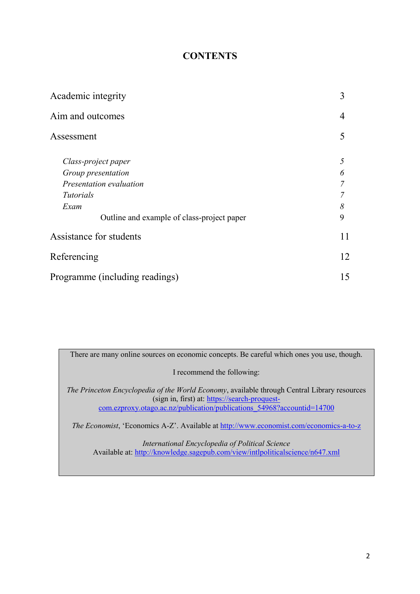# **CONTENTS**

| Academic integrity                         | 3  |
|--------------------------------------------|----|
| Aim and outcomes                           | 4  |
| Assessment                                 | 5  |
| Class-project paper                        | 5  |
| Group presentation                         | 6  |
| Presentation evaluation                    |    |
| <i>Tutorials</i>                           |    |
| Exam                                       | 8  |
| Outline and example of class-project paper | 9  |
| Assistance for students                    | 11 |
| Referencing                                | 12 |
| Programme (including readings)             | 15 |

There are many online sources on economic concepts. Be careful which ones you use, though.

I recommend the following:

*The Princeton Encyclopedia of the World Economy*, available through Central Library resources (sign in, first) at: [https://search-proquest](https://search-proquest-com.ezproxy.otago.ac.nz/publication/publications_54968?accountid=14700)com.ezproxy.otago.ac.nz/publication/publications 54968?accountid=14700

*The Economist*, 'Economics A-Z'. Available at <http://www.economist.com/economics-a-to-z>

*International Encyclopedia of Political Science* Available at:<http://knowledge.sagepub.com/view/intlpoliticalscience/n647.xml>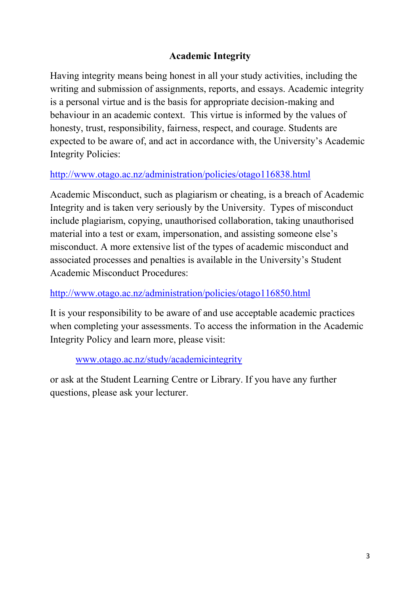# **Academic Integrity**

Having integrity means being honest in all your study activities, including the writing and submission of assignments, reports, and essays. Academic integrity is a personal virtue and is the basis for appropriate decision-making and behaviour in an academic context. This virtue is informed by the values of honesty, trust, responsibility, fairness, respect, and courage. Students are expected to be aware of, and act in accordance with, the University's Academic Integrity Policies:

# <http://www.otago.ac.nz/administration/policies/otago116838.html>

Academic Misconduct, such as plagiarism or cheating, is a breach of Academic Integrity and is taken very seriously by the University. Types of misconduct include plagiarism, copying, unauthorised collaboration, taking unauthorised material into a test or exam, impersonation, and assisting someone else's misconduct. A more extensive list of the types of academic misconduct and associated processes and penalties is available in the University's Student Academic Misconduct Procedures:

# <http://www.otago.ac.nz/administration/policies/otago116850.html>

It is your responsibility to be aware of and use acceptable academic practices when completing your assessments. To access the information in the Academic Integrity Policy and learn more, please visit:

# [www.otago.ac.nz/study/academicintegrity](http://www.otago.ac.nz/study/academicintegrity)

or ask at the Student Learning Centre or Library. If you have any further questions, please ask your lecturer.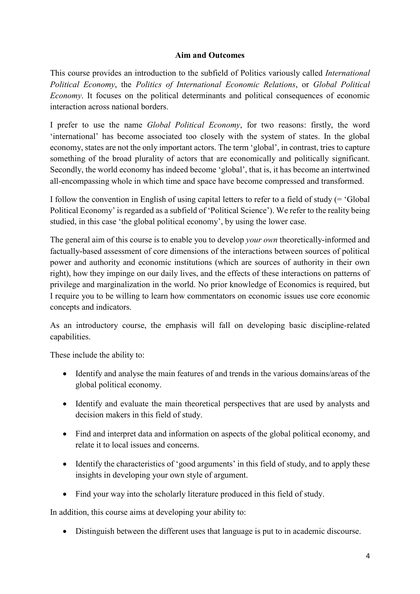#### **Aim and Outcomes**

This course provides an introduction to the subfield of Politics variously called *International Political Economy*, the *Politics of International Economic Relations*, or *Global Political Economy*. It focuses on the political determinants and political consequences of economic interaction across national borders.

I prefer to use the name *Global Political Economy*, for two reasons: firstly, the word 'international' has become associated too closely with the system of states. In the global economy, states are not the only important actors. The term 'global', in contrast, tries to capture something of the broad plurality of actors that are economically and politically significant. Secondly, the world economy has indeed become 'global', that is, it has become an intertwined all-encompassing whole in which time and space have become compressed and transformed.

I follow the convention in English of using capital letters to refer to a field of study  $(= \text{Global})$ Political Economy' is regarded as a subfield of 'Political Science'). We refer to the reality being studied, in this case 'the global political economy', by using the lower case.

The general aim of this course is to enable you to develop *your own* theoretically-informed and factually-based assessment of core dimensions of the interactions between sources of political power and authority and economic institutions (which are sources of authority in their own right), how they impinge on our daily lives, and the effects of these interactions on patterns of privilege and marginalization in the world. No prior knowledge of Economics is required, but I require you to be willing to learn how commentators on economic issues use core economic concepts and indicators.

As an introductory course, the emphasis will fall on developing basic discipline-related capabilities.

These include the ability to:

- Identify and analyse the main features of and trends in the various domains/areas of the global political economy.
- Identify and evaluate the main theoretical perspectives that are used by analysts and decision makers in this field of study.
- Find and interpret data and information on aspects of the global political economy, and relate it to local issues and concerns.
- Identify the characteristics of 'good arguments' in this field of study, and to apply these insights in developing your own style of argument.
- Find your way into the scholarly literature produced in this field of study.

In addition, this course aims at developing your ability to:

Distinguish between the different uses that language is put to in academic discourse.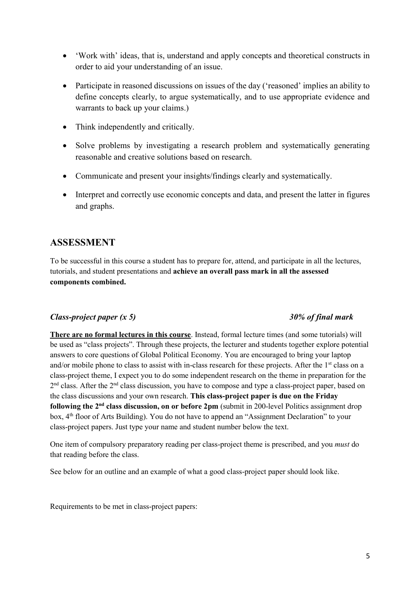- 'Work with' ideas, that is, understand and apply concepts and theoretical constructs in order to aid your understanding of an issue.
- Participate in reasoned discussions on issues of the day ('reasoned' implies an ability to define concepts clearly, to argue systematically, and to use appropriate evidence and warrants to back up your claims.)
- Think independently and critically.
- Solve problems by investigating a research problem and systematically generating reasonable and creative solutions based on research.
- Communicate and present your insights/findings clearly and systematically.
- Interpret and correctly use economic concepts and data, and present the latter in figures and graphs.

# **ASSESSMENT**

To be successful in this course a student has to prepare for, attend, and participate in all the lectures, tutorials, and student presentations and **achieve an overall pass mark in all the assessed components combined.**

### *Class-project paper (x 5) 30% of final mark*

**There are no formal lectures in this course**. Instead, formal lecture times (and some tutorials) will be used as "class projects". Through these projects, the lecturer and students together explore potential answers to core questions of Global Political Economy. You are encouraged to bring your laptop and/or mobile phone to class to assist with in-class research for these projects. After the 1<sup>st</sup> class on a class-project theme, I expect you to do some independent research on the theme in preparation for the 2<sup>nd</sup> class. After the 2<sup>nd</sup> class discussion, you have to compose and type a class-project paper, based on the class discussions and your own research. **This class-project paper is due on the Friday following the 2nd class discussion, on or before 2pm** (submit in 200-level Politics assignment drop box, 4<sup>th</sup> floor of Arts Building). You do not have to append an "Assignment Declaration" to your class-project papers. Just type your name and student number below the text.

One item of compulsory preparatory reading per class-project theme is prescribed, and you *must* do that reading before the class.

See below for an outline and an example of what a good class-project paper should look like.

Requirements to be met in class-project papers: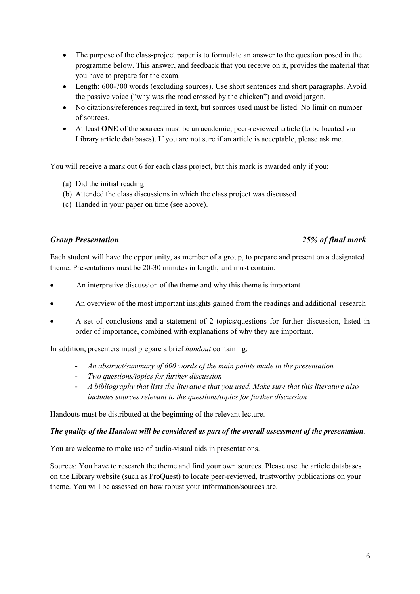- The purpose of the class-project paper is to formulate an answer to the question posed in the programme below. This answer, and feedback that you receive on it, provides the material that you have to prepare for the exam.
- Length: 600-700 words (excluding sources). Use short sentences and short paragraphs. Avoid the passive voice ("why was the road crossed by the chicken") and avoid jargon.
- No citations/references required in text, but sources used must be listed. No limit on number of sources.
- At least **ONE** of the sources must be an academic, peer-reviewed article (to be located via Library article databases). If you are not sure if an article is acceptable, please ask me.

You will receive a mark out 6 for each class project, but this mark is awarded only if you:

- (a) Did the initial reading
- (b) Attended the class discussions in which the class project was discussed
- (c) Handed in your paper on time (see above).

#### *Group Presentation 25% of final mark*

Each student will have the opportunity, as member of a group, to prepare and present on a designated theme. Presentations must be 20-30 minutes in length, and must contain:

- An interpretive discussion of the theme and why this theme is important
- An overview of the most important insights gained from the readings and additional research
- A set of conclusions and a statement of 2 topics/questions for further discussion, listed in order of importance, combined with explanations of why they are important.

In addition, presenters must prepare a brief *handout* containing:

- *An abstract/summary of 600 words of the main points made in the presentation*
- *Two questions/topics for further discussion*
- *A bibliography that lists the literature that you used. Make sure that this literature also includes sources relevant to the questions/topics for further discussion*

Handouts must be distributed at the beginning of the relevant lecture.

#### *The quality of the Handout will be considered as part of the overall assessment of the presentation*.

You are welcome to make use of audio-visual aids in presentations.

Sources: You have to research the theme and find your own sources. Please use the article databases on the Library website (such as ProQuest) to locate peer-reviewed, trustworthy publications on your theme. You will be assessed on how robust your information/sources are.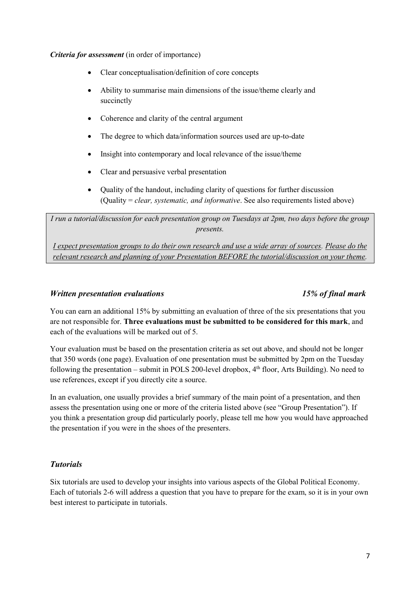*Criteria for assessment* (in order of importance)

- Clear conceptualisation/definition of core concepts
- Ability to summarise main dimensions of the issue/theme clearly and succinctly
- Coherence and clarity of the central argument
- The degree to which data/information sources used are up-to-date
- Insight into contemporary and local relevance of the issue/theme
- Clear and persuasive verbal presentation
- Quality of the handout, including clarity of questions for further discussion (Quality = *clear, systematic, and informative*. See also requirements listed above)

*I run a tutorial/discussion for each presentation group on Tuesdays at 2pm, two days before the group presents.*

*I expect presentation groups to do their own research and use a wide array of sources. Please do the relevant research and planning of your Presentation BEFORE the tutorial/discussion on your theme.*

#### *Written presentation evaluations 15% of final mark*

You can earn an additional 15% by submitting an evaluation of three of the six presentations that you are not responsible for. **Three evaluations must be submitted to be considered for this mark**, and each of the evaluations will be marked out of 5.

Your evaluation must be based on the presentation criteria as set out above, and should not be longer that 350 words (one page). Evaluation of one presentation must be submitted by 2pm on the Tuesday following the presentation – submit in POLS 200-level dropbox,  $4<sup>th</sup>$  floor, Arts Building). No need to use references, except if you directly cite a source.

In an evaluation, one usually provides a brief summary of the main point of a presentation, and then assess the presentation using one or more of the criteria listed above (see "Group Presentation"). If you think a presentation group did particularly poorly, please tell me how you would have approached the presentation if you were in the shoes of the presenters.

#### *Tutorials*

Six tutorials are used to develop your insights into various aspects of the Global Political Economy. Each of tutorials 2-6 will address a question that you have to prepare for the exam, so it is in your own best interest to participate in tutorials.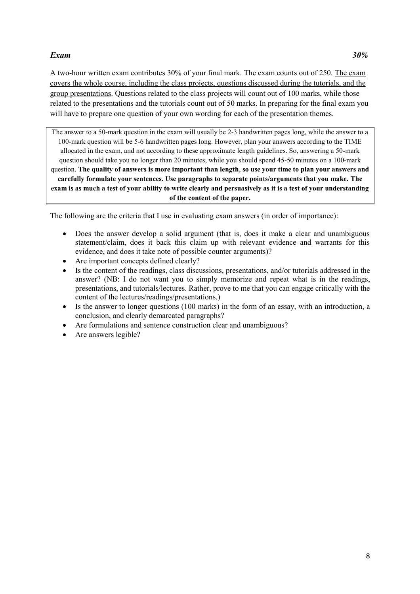### *Exam 30%*

A two-hour written exam contributes 30% of your final mark. The exam counts out of 250. The exam covers the whole course, including the class projects, questions discussed during the tutorials, and the group presentations. Questions related to the class projects will count out of 100 marks, while those related to the presentations and the tutorials count out of 50 marks. In preparing for the final exam you will have to prepare one question of your own wording for each of the presentation themes.

The answer to a 50-mark question in the exam will usually be 2-3 handwritten pages long, while the answer to a 100-mark question will be 5-6 handwritten pages long. However, plan your answers according to the TIME allocated in the exam, and not according to these approximate length guidelines. So, answering a 50-mark question should take you no longer than 20 minutes, while you should spend 45-50 minutes on a 100-mark question. **The quality of answers is more important than length**, **so use your time to plan your answers and carefully formulate your sentences. Use paragraphs to separate points/arguments that you make. The exam is as much a test of your ability to write clearly and persuasively as it is a test of your understanding of the content of the paper.**

The following are the criteria that I use in evaluating exam answers (in order of importance):

- Does the answer develop a solid argument (that is, does it make a clear and unambiguous statement/claim, does it back this claim up with relevant evidence and warrants for this evidence, and does it take note of possible counter arguments)?
- Are important concepts defined clearly?
- Is the content of the readings, class discussions, presentations, and/or tutorials addressed in the answer? (NB: I do not want you to simply memorize and repeat what is in the readings, presentations, and tutorials/lectures. Rather, prove to me that you can engage critically with the content of the lectures/readings/presentations.)
- Is the answer to longer questions (100 marks) in the form of an essay, with an introduction, a conclusion, and clearly demarcated paragraphs?
- Are formulations and sentence construction clear and unambiguous?
- Are answers legible?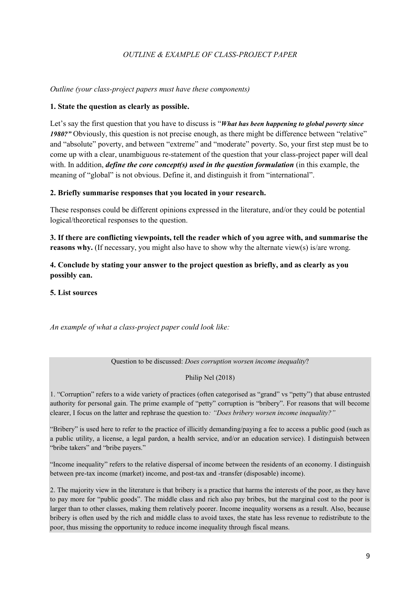### *OUTLINE & EXAMPLE OF CLASS-PROJECT PAPER*

#### *Outline (your class-project papers must have these components)*

#### **1. State the question as clearly as possible.**

Let's say the first question that you have to discuss is "*What has been happening to global poverty since 1980?"* Obviously, this question is not precise enough, as there might be difference between "relative" and "absolute" poverty, and between "extreme" and "moderate" poverty. So, your first step must be to come up with a clear, unambiguous re-statement of the question that your class-project paper will deal with. In addition, *define the core concept(s) used in the question formulation* (in this example, the meaning of "global" is not obvious. Define it, and distinguish it from "international".

#### **2. Briefly summarise responses that you located in your research.**

These responses could be different opinions expressed in the literature, and/or they could be potential logical/theoretical responses to the question.

**3. If there are conflicting viewpoints, tell the reader which of you agree with, and summarise the reasons why.** (If necessary, you might also have to show why the alternate view(s) is/are wrong.

#### **4. Conclude by stating your answer to the project question as briefly, and as clearly as you possibly can.**

**5. List sources**

*An example of what a class-project paper could look like:*

Question to be discussed: *Does corruption worsen income inequality*?

#### Philip Nel (2018)

1. "Corruption" refers to a wide variety of practices (often categorised as "grand" vs "petty") that abuse entrusted authority for personal gain. The prime example of "petty" corruption is "bribery". For reasons that will become clearer, I focus on the latter and rephrase the question to*: "Does bribery worsen income inequality?"*

"Bribery" is used here to refer to the practice of illicitly demanding/paying a fee to access a public good (such as a public utility, a license, a legal pardon, a health service, and/or an education service). I distinguish between "bribe takers" and "bribe payers."

"Income inequality" refers to the relative dispersal of income between the residents of an economy. I distinguish between pre-tax income (market) income, and post-tax and -transfer (disposable) income).

2. The majority view in the literature is that bribery is a practice that harms the interests of the poor, as they have to pay more for "public goods". The middle class and rich also pay bribes, but the marginal cost to the poor is larger than to other classes, making them relatively poorer. Income inequality worsens as a result. Also, because bribery is often used by the rich and middle class to avoid taxes, the state has less revenue to redistribute to the poor, thus missing the opportunity to reduce income inequality through fiscal means.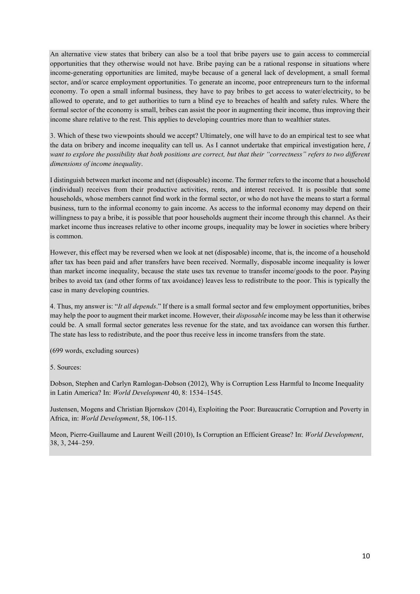An alternative view states that bribery can also be a tool that bribe payers use to gain access to commercial opportunities that they otherwise would not have. Bribe paying can be a rational response in situations where income-generating opportunities are limited, maybe because of a general lack of development, a small formal sector, and/or scarce employment opportunities. To generate an income, poor entrepreneurs turn to the informal economy. To open a small informal business, they have to pay bribes to get access to water/electricity, to be allowed to operate, and to get authorities to turn a blind eye to breaches of health and safety rules. Where the formal sector of the economy is small, bribes can assist the poor in augmenting their income, thus improving their income share relative to the rest. This applies to developing countries more than to wealthier states.

3. Which of these two viewpoints should we accept? Ultimately, one will have to do an empirical test to see what the data on bribery and income inequality can tell us. As I cannot undertake that empirical investigation here, *I want to explore the possibility that both positions are correct, but that their "correctness" refers to two different dimensions of income inequality*.

I distinguish between market income and net (disposable) income. The former refers to the income that a household (individual) receives from their productive activities, rents, and interest received. It is possible that some households, whose members cannot find work in the formal sector, or who do not have the means to start a formal business, turn to the informal economy to gain income. As access to the informal economy may depend on their willingness to pay a bribe, it is possible that poor households augment their income through this channel. As their market income thus increases relative to other income groups, inequality may be lower in societies where bribery is common.

However, this effect may be reversed when we look at net (disposable) income, that is, the income of a household after tax has been paid and after transfers have been received. Normally, disposable income inequality is lower than market income inequality, because the state uses tax revenue to transfer income/goods to the poor. Paying bribes to avoid tax (and other forms of tax avoidance) leaves less to redistribute to the poor. This is typically the case in many developing countries.

4. Thus, my answer is: "*It all depends*." If there is a small formal sector and few employment opportunities, bribes may help the poor to augment their market income. However, their *disposable* income may be less than it otherwise could be. A small formal sector generates less revenue for the state, and tax avoidance can worsen this further. The state has less to redistribute, and the poor thus receive less in income transfers from the state.

(699 words, excluding sources)

#### 5. Sources:

Dobson, Stephen and Carlyn Ramlogan-Dobson (2012), Why is Corruption Less Harmful to Income Inequality in Latin America? In: *World Development* 40, 8: 1534–1545.

Justensen, Mogens and Christian Bjornskov (2014), Exploiting the Poor: Bureaucratic Corruption and Poverty in Africa, in: *World Development*, 58, 106-115.

Meon, Pierre-Guillaume and Laurent Weill (2010), Is Corruption an Efficient Grease? In: *World Development*, 38, 3, 244–259.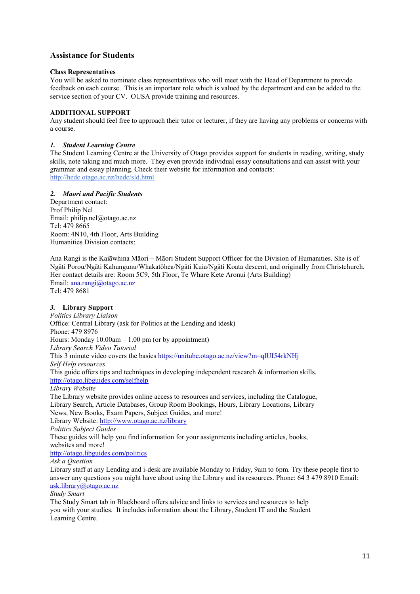#### **Assistance for Students**

#### **Class Representatives**

You will be asked to nominate class representatives who will meet with the Head of Department to provide feedback on each course. This is an important role which is valued by the department and can be added to the service section of your CV. OUSA provide training and resources.

#### **ADDITIONAL SUPPORT**

Any student should feel free to approach their tutor or lecturer, if they are having any problems or concerns with a course.

#### *1. Student Learning Centre*

The Student Learning Centre at the University of Otago provides support for students in reading, writing, study skills, note taking and much more. They even provide individual essay consultations and can assist with your grammar and essay planning. Check their website for information and contacts: <http://hedc.otago.ac.nz/hedc/sld.html>

#### *2. Maori and Pacific Students*

Department contact: Prof Philip Nel Email: philip.nel@otago.ac.nz Tel: 479 8665 Room: 4N10, 4th Floor, Arts Building Humanities Division contacts:

Ana Rangi is the Kaiāwhina Māori – Māori Student Support Officer for the Division of Humanities. She is of Ngāti Porou/Ngāti Kahungunu/Whakatōhea/Ngāti Kuia/Ngāti Koata descent, and originally from Christchurch. Her contact details are: Room 5C9, 5th Floor, Te Whare Kete Aronui (Arts Building) Email: [ana.rangi@otago.ac.nz](mailto:ana.rangi@otago.ac.nz) Tel: 479 8681

#### *3.* **Library Support**

*Politics Library Liaison* Office: Central Library (ask for Politics at the Lending and idesk) Phone: 479 8976 Hours: Monday 10.00am – 1.00 pm (or by appointment) *Library Search Video Tutorial* This 3 minute video covers the basics<https://unitube.otago.ac.nz/view?m=qlUI54rkNHj> *Self Help resources* This guide offers tips and techniques in developing independent research & information skills. <http://otago.libguides.com/selfhelp> *Library Website* The Library website provides online access to resources and services, including the Catalogue, Library Search, Article Databases, Group Room Bookings, Hours, Library Locations, Library News, New Books, Exam Papers, Subject Guides, and more! Library Website:<http://www.otago.ac.nz/library> *Politics Subject Guides* These guides will help you find information for your assignments including articles, books, websites and more!

#### <http://otago.libguides.com/politics>

*Ask a Question*

Library staff at any Lending and i-desk are available Monday to Friday, 9am to 6pm. Try these people first to answer any questions you might have about using the Library and its resources. Phone: 64 3 479 8910 Email: [ask.library@otago.ac.nz](mailto:ask.library@otago.ac.nz)

*Study Smart*

The Study Smart tab in Blackboard offers advice and links to services and resources to help you with your studies. It includes information about the Library, Student IT and the Student Learning Centre.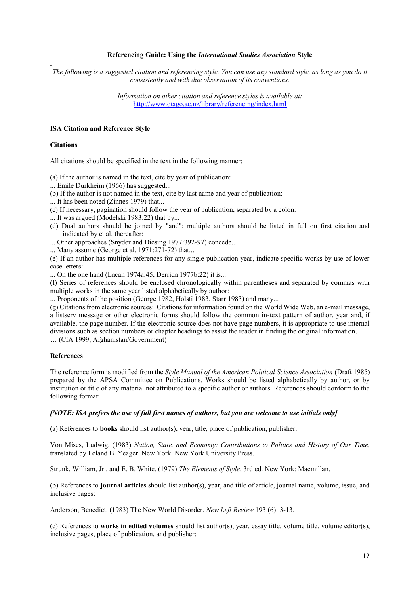#### **Referencing Guide: Using the** *International Studies Association* **Style**

**.** *The following is a suggested citation and referencing style. You can use any standard style, as long as you do it consistently and with due observation of its conventions.*

> *Information on other citation and reference styles is available at:* <http://www.otago.ac.nz/library/referencing/index.html>

#### **ISA Citation and Reference Style**

#### **Citations**

All citations should be specified in the text in the following manner:

(a) If the author is named in the text, cite by year of publication:

... Emile Durkheim (1966) has suggested...

(b) If the author is not named in the text, cite by last name and year of publication:

... It has been noted (Zinnes 1979) that...

(c) If necessary, pagination should follow the year of publication, separated by a colon:

- ... It was argued (Modelski 1983:22) that by...
- (d) Dual authors should be joined by "and"; multiple authors should be listed in full on first citation and indicated by et al. thereafter:
- ... Other approaches (Snyder and Diesing 1977:392-97) concede...
- ... Many assume (George et al. 1971:271-72) that...

(e) If an author has multiple references for any single publication year, indicate specific works by use of lower case letters:

... On the one hand (Lacan 1974a:45, Derrida 1977b:22) it is...

(f) Series of references should be enclosed chronologically within parentheses and separated by commas with multiple works in the same year listed alphabetically by author:

... Proponents of the position (George 1982, Holsti 1983, Starr 1983) and many...

(g) Citations from electronic sources: Citations for information found on the World Wide Web, an e-mail message, a listserv message or other electronic forms should follow the common in-text pattern of author, year and, if available, the page number. If the electronic source does not have page numbers, it is appropriate to use internal divisions such as section numbers or chapter headings to assist the reader in finding the original information.

… (CIA 1999, Afghanistan/Government)

#### **References**

The reference form is modified from the *Style Manual of the American Political Science Association* (Draft 1985) prepared by the APSA Committee on Publications. Works should be listed alphabetically by author, or by institution or title of any material not attributed to a specific author or authors. References should conform to the following format:

#### *[NOTE: ISA prefers the use of full first names of authors, but you are welcome to use initials only]*

(a) References to **books** should list author(s), year, title, place of publication, publisher:

Von Mises, Ludwig. (1983) *Nation, State, and Economy: Contributions to Politics and History of Our Time,* translated by Leland B. Yeager. New York: New York University Press.

Strunk, William, Jr., and E. B. White. (1979) *The Elements of Style*, 3rd ed. New York: Macmillan.

(b) References to **journal articles** should list author(s), year, and title of article, journal name, volume, issue, and inclusive pages:

Anderson, Benedict. (1983) The New World Disorder. *New Left Review* 193 (6): 3-13.

(c) References to **works in edited volumes** should list author(s), year, essay title, volume title, volume editor(s), inclusive pages, place of publication, and publisher: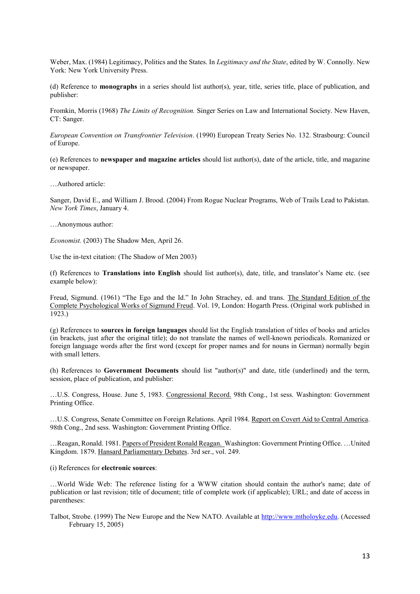Weber, Max. (1984) Legitimacy, Politics and the States. In *Legitimacy and the State*, edited by W. Connolly. New York: New York University Press.

(d) Reference to **monographs** in a series should list author(s), year, title, series title, place of publication, and publisher:

Fromkin, Morris (1968) *The Limits of Recognition.* Singer Series on Law and International Society. New Haven, CT: Sanger.

*European Convention on Transfrontier Television*. (1990) European Treaty Series No. 132. Strasbourg: Council of Europe.

(e) References to **newspaper and magazine articles** should list author(s), date of the article, title, and magazine or newspaper.

…Authored article:

Sanger, David E., and William J. Brood. (2004) From Rogue Nuclear Programs, Web of Trails Lead to Pakistan. *New York Times*, January 4.

…Anonymous author:

*Economist.* (2003) The Shadow Men, April 26.

Use the in-text citation: (The Shadow of Men 2003)

(f) References to **Translations into English** should list author(s), date, title, and translator's Name etc. (see example below):

Freud, Sigmund. (1961) "The Ego and the Id." In John Strachey, ed. and trans. The Standard Edition of the Complete Psychological Works of Sigmund Freud. Vol. 19, London: Hogarth Press. (Original work published in 1923.)

(g) References to **sources in foreign languages** should list the English translation of titles of books and articles (in brackets, just after the original title); do not translate the names of well-known periodicals. Romanized or foreign language words after the first word (except for proper names and for nouns in German) normally begin with small letters.

(h) References to **Government Documents** should list "author(s)" and date, title (underlined) and the term, session, place of publication, and publisher:

…U.S. Congress, House. June 5, 1983. Congressional Record. 98th Cong., 1st sess. Washington: Government Printing Office.

…U.S. Congress, Senate Committee on Foreign Relations. April 1984. Report on Covert Aid to Central America. 98th Cong., 2nd sess. Washington: Government Printing Office.

…Reagan, Ronald. 1981. Papers of President Ronald Reagan. Washington: Government Printing Office. …United Kingdom. 1879. Hansard Parliamentary Debates. 3rd ser., vol. 249.

(i) References for **electronic sources**:

…World Wide Web: The reference listing for a WWW citation should contain the author's name; date of publication or last revision; title of document; title of complete work (if applicable); URL; and date of access in parentheses:

Talbot, Strobe. (1999) The New Europe and the New NATO. Available at [http://www.mtholoyke.edu.](http://www.mtholoyke.edu/) (Accessed February 15, 2005)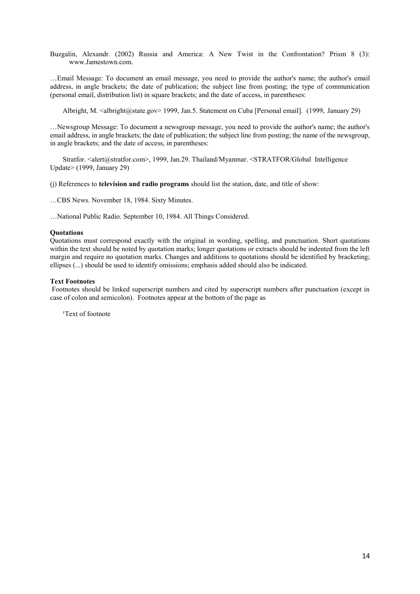Buzgalin, Alexandr. (2002) Russia and America: A New Twist in the Confrontation? Prism 8 (3): www.Jamestown.com.

…Email Message: To document an email message, you need to provide the author's name; the author's email address, in angle brackets; the date of publication; the subject line from posting; the type of communication (personal email, distribution list) in square brackets; and the date of access, in parentheses:

Albright, M. <albright@state.gov> 1999, Jan.5. Statement on Cuba [Personal email]. (1999, January 29)

…Newsgroup Message: To document a newsgroup message, you need to provide the author's name; the author's email address, in angle brackets; the date of publication; the subject line from posting; the name of the newsgroup, in angle brackets; and the date of access, in parentheses:

Stratfor. <alert@stratfor.com>, 1999, Jan.29. Thailand/Myanmar. <STRATFOR/Global Intelligence Update> (1999, January 29)

(j) References to **television and radio programs** should list the station, date, and title of show:

…CBS News. November 18, 1984. Sixty Minutes.

…National Public Radio. September 10, 1984. All Things Considered.

#### **Quotations**

Quotations must correspond exactly with the original in wording, spelling, and punctuation. Short quotations within the text should be noted by quotation marks; longer quotations or extracts should be indented from the left margin and require no quotation marks. Changes and additions to quotations should be identified by bracketing; ellipses (...) should be used to identify omissions; emphasis added should also be indicated.

#### **Text Footnotes**

Footnotes should be linked superscript numbers and cited by superscript numbers after punctuation (except in case of colon and semicolon). Footnotes appear at the bottom of the page as

<sup>1</sup>Text of footnote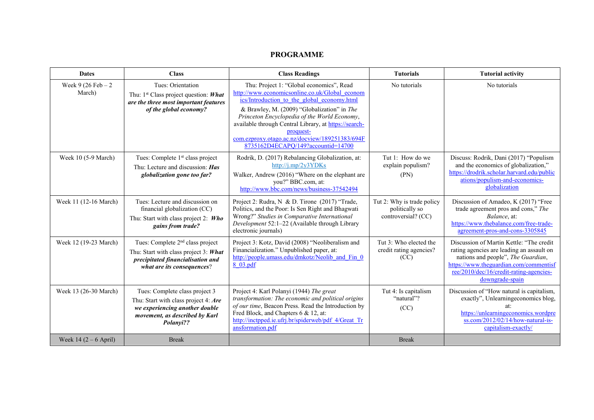### **PROGRAMME**

| <b>Dates</b>                   | <b>Class</b>                                                                                                                                             | <b>Class Readings</b>                                                                                                                                                                                                                                                                                                                                                                                  | <b>Tutorials</b>                                                    | <b>Tutorial activity</b>                                                                                                                                                                                                            |
|--------------------------------|----------------------------------------------------------------------------------------------------------------------------------------------------------|--------------------------------------------------------------------------------------------------------------------------------------------------------------------------------------------------------------------------------------------------------------------------------------------------------------------------------------------------------------------------------------------------------|---------------------------------------------------------------------|-------------------------------------------------------------------------------------------------------------------------------------------------------------------------------------------------------------------------------------|
| Week $9(26$ Feb $-2$<br>March) | Tues: Orientation<br>Thu: $1st$ Class project question: What<br>are the three most important features<br>of the global economy?                          | Thu: Project 1: "Global economics", Read<br>http://www.economicsonline.co.uk/Global econom<br>ics/Introduction to the global economy.html<br>& Brawley, M. (2009) "Globalization" in The<br>Princeton Encyclopedia of the World Economy,<br>available through Central Library, at https://search-<br>proquest-<br>com.ezproxy.otago.ac.nz/docview/189251383/694F<br>8735162D4ECAPQ/149?accountid=14700 | No tutorials                                                        | No tutorials                                                                                                                                                                                                                        |
| Week 10 (5-9 March)            | Tues: Complete 1 <sup>st</sup> class project<br>Thu: Lecture and discussion: <i>Has</i><br>globalization gone too far?                                   | Rodrik, D. (2017) Rebalancing Globalization, at:<br>http://j.mp/2y3YDKs<br>Walker, Andrew (2016) "Where on the elephant are<br>you?" BBC.com, at:<br>http://www.bbc.com/news/business-37542494                                                                                                                                                                                                         | Tut 1: How do we<br>explain populism?<br>(PN)                       | Discuss: Rodrik, Dani (2017) "Populism<br>and the economics of globalization,"<br>https://drodrik.scholar.harvard.edu/public<br>ations/populism-and-economics-<br>globalization                                                     |
| Week 11 (12-16 March)          | Tues: Lecture and discussion on<br>financial globalization (CC)<br>Thu: Start with class project 2: Who<br>gains from trade?                             | Project 2: Rudra, N & D. Tirone (2017) "Trade,<br>Politics, and the Poor: Is Sen Right and Bhagwati<br>Wrong?" Studies in Comparative International<br>Development 52:1-22 (Available through Library<br>electronic journals)                                                                                                                                                                          | Tut 2: Why is trade policy<br>politically so<br>controversial? (CC) | Discussion of Amadeo, K (2017) "Free<br>trade agreement pros and cons," The<br>Balance, at:<br>https://www.thebalance.com/free-trade-<br>agreement-pros-and-cons-3305845                                                            |
| Week 12 (19-23 March)          | Tues: Complete 2 <sup>nd</sup> class project<br>Thu: Start with class project 3: What<br>precipitated financialisation and<br>what are its consequences? | Project 3: Kotz, David (2008) "Neoliberalism and<br>Financialization." Unpublished paper, at:<br>http://people.umass.edu/dmkotz/Neolib and Fin 0<br>8 03.pdf                                                                                                                                                                                                                                           | Tut 3: Who elected the<br>credit rating agencies?<br>(CC)           | Discussion of Martin Kettle: "The credit<br>rating agencies are leading an assault on<br>nations and people", The Guardian,<br>https://www.theguardian.com/commentisf<br>ree/2010/dec/16/credit-rating-agencies-<br>downgrade-spain |
| Week 13 (26-30 March)          | Tues: Complete class project 3<br>Thu: Start with class project 4: Are<br>we experiencing another double<br>movement, as described by Karl<br>Polanyi??  | Project 4: Karl Polanyi (1944) The great<br>transformation: The economic and political origins<br>of our time, Beacon Press. Read the Introduction by<br>Fred Block, and Chapters 6 & 12, at:<br>http://inctpped.ie.ufrj.br/spiderweb/pdf 4/Great Tr<br>ansformation.pdf                                                                                                                               | Tut 4: Is capitalism<br>"natural"?<br>(CC)                          | Discussion of "How natural is capitalism,<br>exactly", Unlearningeconomics blog,<br>at.<br>https://unlearningeconomics.wordpre<br>$ss.com/2012/02/14/how-natural-is-$<br>capitalism-exactly/                                        |
| Week $14(2-6$ April)           | <b>Break</b>                                                                                                                                             |                                                                                                                                                                                                                                                                                                                                                                                                        | <b>Break</b>                                                        |                                                                                                                                                                                                                                     |